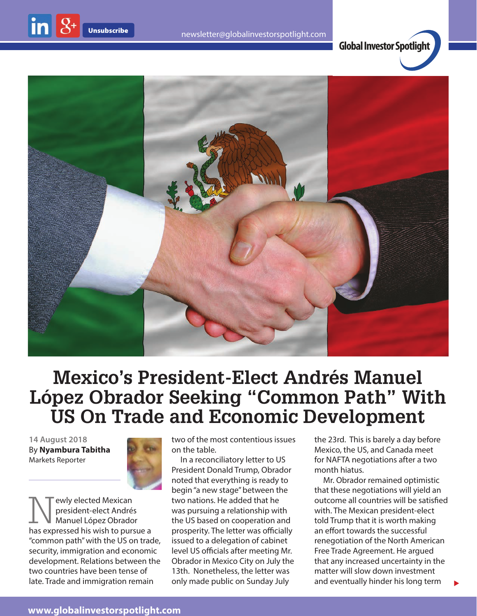

**Global Investor Spotlight**



## **Mexico's President-Elect Andrés Manuel López Obrador Seeking "Common Path" With US On Trade and Economic Development**

**14 August 2018** By **Nyambura Tabitha** Markets Reporter



Newly elected Mexican<br>president-elect André<br>has expressed bis wish to pure president-elect Andrés Manuel López Obrador has expressed his wish to pursue a "common path" with the US on trade, security, immigration and economic development. Relations between the two countries have been tense of late. Trade and immigration remain

two of the most contentious issues on the table.

In a reconciliatory letter to US President Donald Trump, Obrador noted that everything is ready to begin "a new stage" between the two nations. He added that he was pursuing a relationship with the US based on cooperation and prosperity. The letter was officially issued to a delegation of cabinet level US officials after meeting Mr. Obrador in Mexico City on July the 13th. Nonetheless, the letter was only made public on Sunday July

the 23rd. This is barely a day before Mexico, the US, and Canada meet for NAFTA negotiations after a two month hiatus.

Mr. Obrador remained optimistic that these negotiations will yield an outcome all countries will be satisfied with. The Mexican president-elect told Trump that it is worth making an effort towards the successful renegotiation of the North American Free Trade Agreement. He argued that any increased uncertainty in the matter will slow down investment and eventually hinder his long term

 $\blacktriangleright$